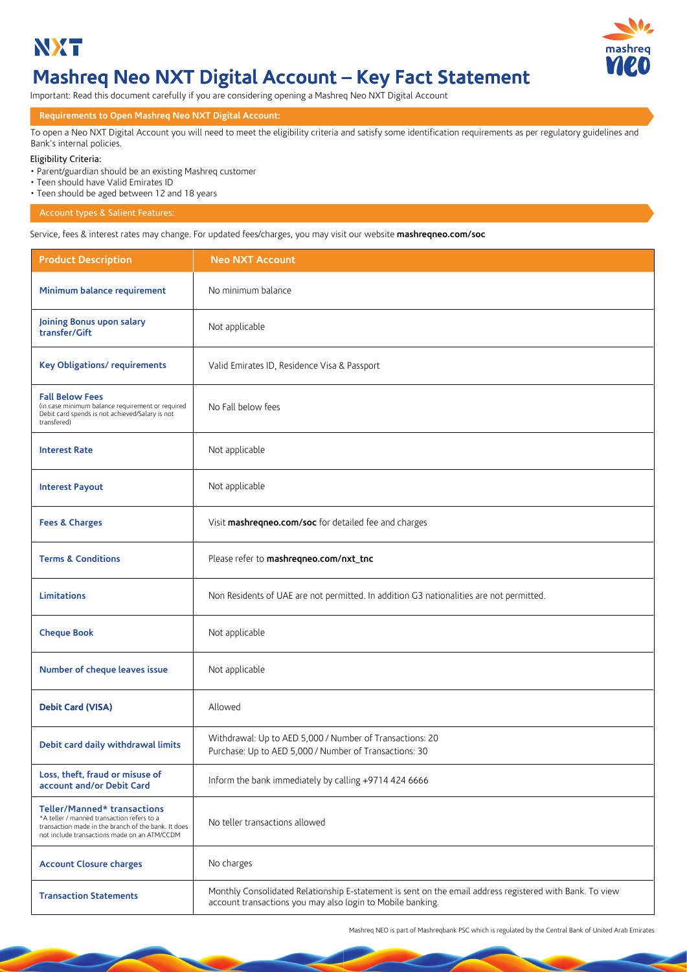



# **Mashreq Neo NXT Digital Account – Key Fact Statement**

Important: Read this document carefully if you are considering opening a Mashreq Neo NXT Digital Account

### **Requirements to Open Mashreq Neo NXT Digital Account:**

To open a Neo NXT Digital Account you will need to meet the eligibility criteria and satisfy some identification requirements as per regulatory guidelines and Bank's internal policies.

### Eligibility Criteria:

• Parent/guardian should be an existing Mashreq customer

- Teen should have Valid Emirates ID
- Teen should be aged between 12 and 18 years

### Account types & Salient Features:

Service, fees & interest rates may change. For updated fees/charges, you may visit our website **mashreqneo.com/soc**

| <b>Product Description</b>                                                                                                                                                       | <b>Neo NXT Account</b>                                                                                                                                                 |  |
|----------------------------------------------------------------------------------------------------------------------------------------------------------------------------------|------------------------------------------------------------------------------------------------------------------------------------------------------------------------|--|
| Minimum balance requirement                                                                                                                                                      | No minimum balance                                                                                                                                                     |  |
| Joining Bonus upon salary<br>transfer/Gift                                                                                                                                       | Not applicable                                                                                                                                                         |  |
| <b>Key Obligations/ requirements</b>                                                                                                                                             | Valid Emirates ID, Residence Visa & Passport                                                                                                                           |  |
| <b>Fall Below Fees</b><br>(in case minimum balance requirement or required<br>Debit card spends is not achieved/Salary is not<br>transfered)                                     | No Fall below fees                                                                                                                                                     |  |
| <b>Interest Rate</b>                                                                                                                                                             | Not applicable                                                                                                                                                         |  |
| <b>Interest Payout</b>                                                                                                                                                           | Not applicable                                                                                                                                                         |  |
| <b>Fees &amp; Charges</b>                                                                                                                                                        | Visit mashreqneo.com/soc for detailed fee and charges                                                                                                                  |  |
| <b>Terms &amp; Conditions</b>                                                                                                                                                    | Please refer to mashreqneo.com/nxt_tnc                                                                                                                                 |  |
| <b>Limitations</b>                                                                                                                                                               | Non Residents of UAE are not permitted. In addition G3 nationalities are not permitted.                                                                                |  |
| <b>Cheque Book</b>                                                                                                                                                               | Not applicable                                                                                                                                                         |  |
| Number of cheque leaves issue                                                                                                                                                    | Not applicable                                                                                                                                                         |  |
| <b>Debit Card (VISA)</b>                                                                                                                                                         | Allowed                                                                                                                                                                |  |
| Debit card daily withdrawal limits                                                                                                                                               | Withdrawal: Up to AED 5,000 / Number of Transactions: 20<br>Purchase: Up to AED 5,000 / Number of Transactions: 30                                                     |  |
| Loss, theft, fraud or misuse of<br>account and/or Debit Card                                                                                                                     | Inform the bank immediately by calling +9714 424 6666                                                                                                                  |  |
| Teller/Manned* transactions<br>*A teller / manned transaction refers to a<br>transaction made in the branch of the bank. It does<br>not include transactions made on an ATM/CCDM | No teller transactions allowed                                                                                                                                         |  |
| <b>Account Closure charges</b>                                                                                                                                                   | No charges                                                                                                                                                             |  |
| <b>Transaction Statements</b>                                                                                                                                                    | Monthly Consolidated Relationship E-statement is sent on the email address registered with Bank. To view<br>account transactions you may also login to Mobile banking. |  |

Mashreq NEO is part of Mashreqbank PSC which is regulated by the Central Bank of United Arab Emirates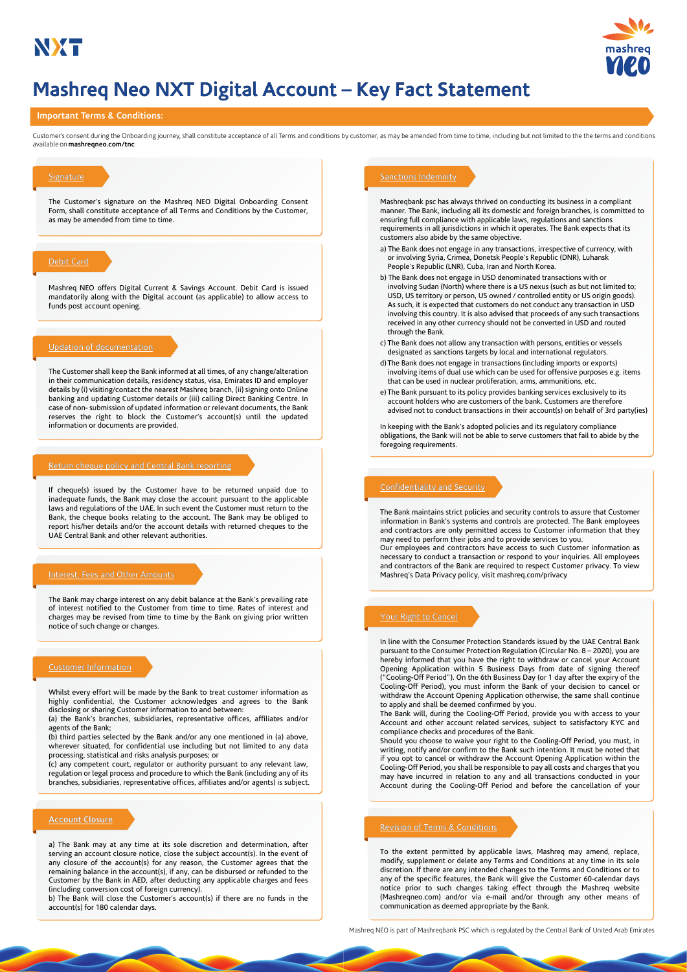

# **Mashreq Neo NXT Digital Account – Key Fact Statement**

### **Important Terms & Conditions:**

available on **mashreqneo.com/tnc** Customer's consent during the Onboarding journey, shall constitute acceptance of all Terms and conditions by customer, as may be amended from time to time, including but not limited to the the terms and conditions

The Customer's signature on the Mashreq NEO Digital Onboarding Consent Form, shall constitute acceptance of all Terms and Conditions by the Customer, as may be amended from time to time.

Mashreq NEO offers Digital Current & Savings Account. Debit Card is issued mandatorily along with the Digital account (as applicable) to allow access to funds post account opening.

### Updation of documentation

The Customer shall keep the Bank informed at all times, of any change/alteration in their communication details, residency status, visa, Emirates ID and employer details by (i) visiting/contact the nearest Mashreq branch, (ii) signing onto Online banking and updating Customer details or (iii) calling Direct Banking Centre. In case of non- submission of updated information or relevant documents, the Bank reserves the right to block the Customer's account(s) until the updated information or documents are provided.

### Return cheque policy and Central Bank reporting

If cheque(s) issued by the Customer have to be returned unpaid due to inadequate funds, the Bank may close the account pursuant to the applicable laws and regulations of the UAE. In such event the Customer must return to the Bank, the cheque books relating to the account. The Bank may be obliged to report his/her details and/or the account details with returned cheques to the UAE Central Bank and other relevant authorities.

### Interest, Fees and Other Amounts

The Bank may charge interest on any debit balance at the Bank's prevailing rate of interest notified to the Customer from time to time. Rates of interest and charges may be revised from time to time by the Bank on giving prior written notice of such change or changes.

### Customer Information

Whilst every effort will be made by the Bank to treat customer information as highly confidential, the Customer acknowledges and agrees to the Bank disclosing or sharing Customer information to and between:

(a) the Bank's branches, subsidiaries, representative offices, affiliates and/or agents of the Bank;

(b) third parties selected by the Bank and/or any one mentioned in (a) above, wherever situated, for confidential use including but not limited to any data processing, statistical and risks analysis purposes; or

(c) any competent court, regulator or authority pursuant to any relevant law, regulation or legal process and procedure to which the Bank (including any of its branches, subsidiaries, representative offices, affiliates and/or agents) is subject.

### **Account Closure**

a) The Bank may at any time at its sole discretion and determination, after serving an account closure notice, close the subject account(s). In the event of any closure of the account(s) for any reason, the Customer agrees that the remaining balance in the account(s), if any, can be disbursed or refunded to the Customer by the Bank in AED, after deducting any applicable charges and fees (including conversion cost of foreign currency).

b) The Bank will close the Customer's account(s) if there are no funds in the account(s) for 180 calendar days.

Mashreqbank psc has always thrived on conducting its business in a compliant manner. The Bank, including all its domestic and foreign branches, is committed to ensuring full compliance with applicable laws, regulations and sanctions requirements in all jurisdictions in which it operates. The Bank expects that its customers also abide by the same objective.

- a) The Bank does not engage in any transactions, irrespective of currency, with or involving Syria, Crimea, Donetsk People's Republic (DNR), Luhansk People's Republic (LNR), Cuba, Iran and North Korea.
- b) The Bank does not engage in USD denominated transactions with or involving Sudan (North) where there is a US nexus (such as but not limited to; USD, US territory or person, US owned / controlled entity or US origin goods). As such, it is expected that customers do not conduct any transaction in USD involving this country. It is also advised that proceeds of any such transactions received in any other currency should not be converted in USD and routed through the Bank.
- c) The Bank does not allow any transaction with persons, entities or vessels designated as sanctions targets by local and international regulators.
- d) The Bank does not engage in transactions (including imports or exports) involving items of dual use which can be used for offensive purposes e.g. items that can be used in nuclear proliferation, arms, ammunitions, etc.
- e) The Bank pursuant to its policy provides banking services exclusively to its account holders who are customers of the bank. Customers are therefore advised not to conduct transactions in their account(s) on behalf of 3rd party(ies)

In keeping with the Bank's adopted policies and its regulatory compliance obligations, the Bank will not be able to serve customers that fail to abide by the foregoing requirements.

### Confidentiality and Security

The Bank maintains strict policies and security controls to assure that Customer information in Bank's systems and controls are protected. The Bank employees and contractors are only permitted access to Customer information that they may need to perform their jobs and to provide services to you.

Our employees and contractors have access to such Customer information as necessary to conduct a transaction or respond to your inquiries. All employees and contractors of the Bank are required to respect Customer privacy. To view Mashreq's Data Privacy policy, visit mashreq.com/privacy

### Your Right to Cancel

In line with the Consumer Protection Standards issued by the UAE Central Bank pursuant to the Consumer Protection Regulation (Circular No. 8 – 2020), you are hereby informed that you have the right to withdraw or cancel your Account Opening Application within 5 Business Days from date of signing thereof ("Cooling-Off Period"). On the 6th Business Day (or 1 day after the expiry of the Cooling-Off Period), you must inform the Bank of your decision to cancel or withdraw the Account Opening Application otherwise, the same shall continue to apply and shall be deemed confirmed by you.

The Bank will, during the Cooling-Off Period, provide you with access to your Account and other account related services, subject to satisfactory KYC and compliance checks and procedures of the Bank.

Should you choose to waive your right to the Cooling-Off Period, you must, in writing, notify and/or confirm to the Bank such intention. It must be noted that if you opt to cancel or withdraw the Account Opening Application within the Cooling-Off Period, you shall be responsible to pay all costs and charges that you may have incurred in relation to any and all transactions conducted in your Account during the Cooling-Off Period and before the cancellation of your

### Revision of Terms & Conditions

To the extent permitted by applicable laws, Mashreq may amend, replace, modify, supplement or delete any Terms and Conditions at any time in its sole discretion. If there are any intended changes to the Terms and Conditions or to any of the specific features, the Bank will give the Customer 60-calendar days notice prior to such changes taking effect through the Mashreq website (Mashreqneo.com) and/or via e-mail and/or through any other means of communication as deemed appropriate by the Bank.

Mashreq NEO is part of Mashreqbank PSC which is regulated by the Central Bank of United Arab Emirates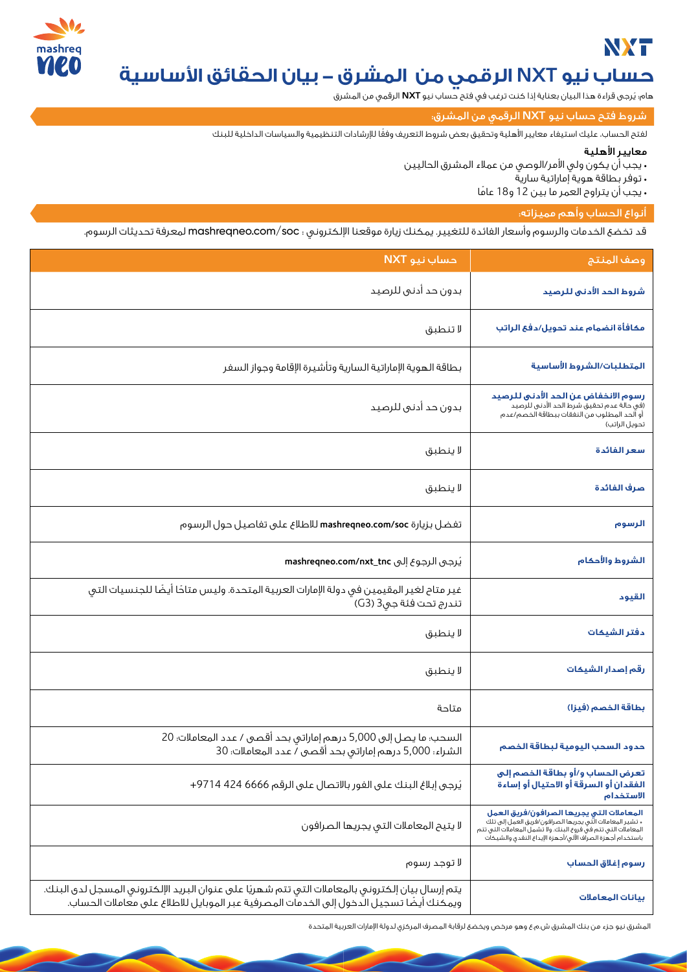# **NXT**



# **حساب نيو NXT الرقمي من المشرق - بيان الحقائق اساسية**

هام؛ يُرجى قراءة هذا البيان بعناية إذا كنت ترغب في فتح حساب نيو **NXT** الرقمي من المشرق

شروط فتح حساب نيو **NXT** الرقمي من المشرق:

ً لفتح الحساب، عليك استيفاء معايير اهلية وتحقيق بعض شروط التعريف وفقا لرشادات التنظيمية والسياسات الداخلية للبنك

# معايير الأهلية

- يجب أن يكون ولي الأمر/الوصي من عملاء المشرق الحاليين
	- توفر بطاقة هوية إماراتية سارية
	- يجب أن يتراوح العمر ما بين 12 و18 عامً ا

# أنواع الحساب وأهم مميزاته:

قد تخضع الخدمات والرسوم وأسعار الفائدة للتغيير. يمكنك زيارة موقعنا ا¥لكتروني : soc/com.mashreqneo لمعرفة تحديثات الرسوم.

| حساب نيو NXT                                                                                                                                                                                | وصف المنتج                                                                                                                                                                                                                            |
|---------------------------------------------------------------------------------------------------------------------------------------------------------------------------------------------|---------------------------------------------------------------------------------------------------------------------------------------------------------------------------------------------------------------------------------------|
| بدون حد أدنى للرصيد                                                                                                                                                                         | شروط الحد الأدنى للرصيد                                                                                                                                                                                                               |
| لا تنطبق                                                                                                                                                                                    | مكافأة انضمام عند تحويل/دفع الراتب                                                                                                                                                                                                    |
| بطاقة الهوية الإماراتية السارية وتأشيرة الإقامة وجواز السفر                                                                                                                                 | المتطلبات/الشروط الأساسية                                                                                                                                                                                                             |
| بدون حد أدنى للرصيد                                                                                                                                                                         | رسوم الانخفاض عن الحد الأدنى للرصيد<br>(فى حالة عدم تحقيق شرط الحد الأدنى للرصيد<br>أو الحد المطلوب من النفقات ببطاقة الخصم/عدم<br>تحويل الراتب)                                                                                      |
| لا ينطبق                                                                                                                                                                                    | سعر الفائدة                                                                                                                                                                                                                           |
| لا ينطبق                                                                                                                                                                                    | صرف الفائدة                                                                                                                                                                                                                           |
| تفضل بزيارة mashreqneo.com/soc للاطلاع على تفاصيل حول الرسوم                                                                                                                                | الرسوم                                                                                                                                                                                                                                |
| يُرجى الرجوع إلى mashreqneo.com/nxt_tnc                                                                                                                                                     | الشروط والأحكام                                                                                                                                                                                                                       |
| غير متاح لغير المقيمين فى دولة الإمارات العربية المتحدة. وليس متاحًا أيضًا للجنسيات التى<br>تندرج تحت فئة جي3 (G3)                                                                          | القيود                                                                                                                                                                                                                                |
| لا ينطبق                                                                                                                                                                                    | دفتر الشيكات                                                                                                                                                                                                                          |
| لا ينطبق                                                                                                                                                                                    | رقم إصدار الشيكات                                                                                                                                                                                                                     |
| متاحة                                                                                                                                                                                       | بطاقة الخصم (فيزا)                                                                                                                                                                                                                    |
| السحب؛ ما يصل إلى 5,000 درهم إماراتي بحد أقصى / عدد المعاملات؛ 20<br>الشراء: 5,000 درهم إماراتي بحد أقصى / عدد المعاملات: 30                                                                | حدود السحب اليومية لبطاقة الخصم                                                                                                                                                                                                       |
| يُرجى إبلاغ البنك على الفور بالاتصال على الرقم 6666 424 9714+                                                                                                                               | تعرض الحساب و/أو بطاقة الخصم إلى<br>الفقدان أو السرقة أو الاحتيال أو إساءة<br>الاستخدام                                                                                                                                               |
| لايتيح المعاملات التى يجريها الصرافون                                                                                                                                                       | المعاملات التى يجريها الصرافون/فريق العمل<br>٭ تشير المعاملات الَّتي يجريها الصرافون/فريق العمل إلى تلك<br>المعاملات التى تتم فى فروع البنك. ولا تشمل المعاملات التى تتم<br>باستخدام أجهزة الصراف الآلى/أجهزة الإيداع النقدى والشيكات |
| لا توجد رسوم                                                                                                                                                                                | رسوم إغلاق الحساب                                                                                                                                                                                                                     |
| يتم إرسال بيان إلكتروني بالمعاملات التي تتم شهريًا على عنوان البريد الإلكتروني المسجل لدى البنك.<br>ويمكنك أيضًا تسجيل الدخول إلى الخدمات المصرفية عبر الموبايل للاطلاع على معاملات الحساب. | بيانات المعاملات                                                                                                                                                                                                                      |

المشرق نيو جزء من بنك المشرق ش.م.ع وهو مرخص ويخضع لرقابة المصرف المركزي لدولة ا¥مارات العربية المتحدة